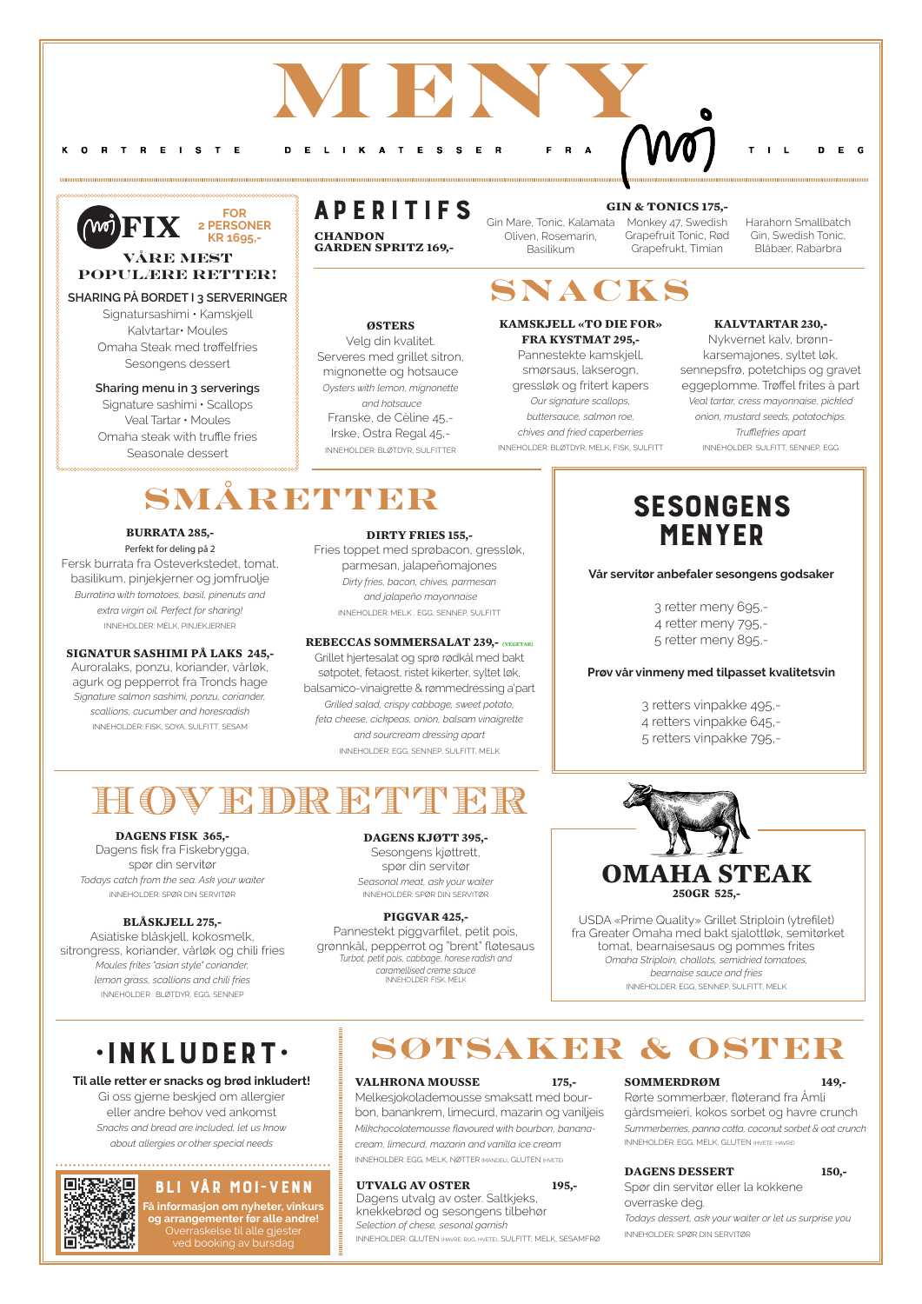## **ØSTERS**

Velg din kvalitet. Serveres med grillet sitron, mignonette og hotsauce *Oysters with lemon, mignonette and hotsauce* Franske, de Cèline 45,- Irske, Ostra Regal 45,- INNEHOLDER: BLØTDYR, SULFITTER

**KAMSKJELL «TO DIE FOR» FRA KYSTMAT 295,-** Pannestekte kamskjell, smørsaus, lakserogn, gressløk og fritert kapers *Our signature scallops, buttersauce, salmon roe, chives and fried caperberries* INNEHOLDER: BLØTDYR, MELK, FISK, SULFITT

## **KALVTARTAR 230,-**

Nykvernet kalv, brønnkarsemajones, syltet løk, sennepsfrø, potetchips og gravet eggeplomme. Trøffel frites à part *Veal tartar, cress mayonnaise, pickled onion, mustard seeds, potatochips. Trufflefries apart* INNEHOLDER: SULFITT, SENNEP, EGG

# **SMÅRETTER**

## **MENY** O R T R E I S T E D E L I K A T E  $R$   $\Delta$ **S**

Melkesjokolademousse smaksatt med bourbon, banankrem, limecurd, mazarin og vaniljeis *Milkchocolatemousse flavoured with bourbon, bananacream, limecurd, mazarin and vanilla ice cream* INNEHOLDER: EGG, MELK, NØTTER (MANDEL), GLUTEN (HVETE)

## UTVALG AV OSTER 195,-

Dagens utvalg av oster. Saltkjeks, knekkebrød og sesongens tilbehør *Selection of chese, sesonal garnish* INNEHOLDER: GLUTEN (HAVRE, RUG, HVETE), SULFITT, MELK, SESAMFRØ

## **SOMMERDRØM 149,-**  Rørte sommerbær, fløterand fra Åmli gårdsmeieri, kokos sorbet og havre crunch *Summerberries, panna cotta, coconut sorbet & oat crunch* INNEHOLDER: EGG, MELK, GLUTEN (HVETE, HAVRE)

## **DAGENS DESSERT 150,-**

Spør din servitør eller la kokkene overraske deg.

*Todays dessert, ask your waiter or let us surprise you* 

INNEHOLDER: SPØR DIN SERVITØR

# aperitifs

# •Inkludert•

## **Til alle retter er snacks og brød inkludert!**

Gi oss gjerne beskjed om allergier eller andre behov ved ankomst *Snacks and bread are included, let us know about allergies or other special needs*



**CHANDON GARDEN SPRITZ 169,-** 

## **DAGENS FISK 365,-**

Dagens fisk fra Fiskebrygga, spør din servitør *Todays catch from the sea. Ask your waiter* INNEHOLDER: SPØR DIN SERVITØR

## **BLÅSKJELL 275,-**

# **SESONGENS** menyer

Asiatiske blåskjell, kokosmelk, sitrongress, koriander, vårløk og chili fries *Moules frites "asian style" coriander, lemon grass, scallions and chili fries*

## **DAGENS KJØTT 395,-**

Sesongens kjøttrett, spør din servitør *Seasonal meat, ask your waiter* INNEHOLDER: SPØR DIN SERVITØR

## **PIGGVAR 425,-**

Gin Mare, Tonic, Kalamata Monkey 47, Swedish Grapefruit Tonic, Rød Grapefrukt, Timian Oliven, Rosemarin, Basilikum

Pannestekt piggvarfilet, petit pois, grønnkål, pepperrot og "brent" fløtesaus *Turbot, petit pois, cabbage, horese radish and caramellised creme sauce* INNEHOLDER: FISK, MELK

## **BURRATA 285,-**

Perfekt for deling på 2 Fersk burrata fra Osteverkstedet, tomat, basilikum, pinjekjerner og jomfruolje *Burratina with tomatoes, basil, pinenuts and extra virgin oil. Perfect for sharing!* INNEHOLDER: MELK, PINJEKJERNER

## **SIGNATUR SASHIMI PÅ LAKS 245,-**

Auroralaks, ponzu, koriander, vårløk, agurk og pepperrot fra Tronds hage *Signature salmon sashimi, ponzu, coriander, scallions, cucumber and horesradish* INNEHOLDER: FISK, SOYA, SULFITT, SESAM

## **DIRTY FRIES 155,-**

Fries toppet med sprøbacon, gressløk, parmesan, jalapeñomajones *Dirty fries, bacon, chives, parmesan and jalapeño mayonnaise*  INNEHOLDER: MELK , EGG, SENNEP, SULFITT

## **REBECCAS SOMMERSALAT 239,- (VEGETAR)**

Grillet hjertesalat og sprø rødkål med bakt søtpotet, fetaost, ristet kikerter, syltet løk, balsamico-vinaigrette & rømmedressing a'part *Grilled salad, crispy cabbage, sweet potato, feta cheese, cickpeas, onion, balsam vinaigrette and sourcream dressing apart*  INNEHOLDER: EGG, SENNEP, SULFITT, MELK

# OVEDRETTER

# **Søtsaker & oster**

VALHRONA MOUSSE 175,-

**Snacks**



USDA «Prime Quality» Grillet Striploin (ytrefilet) fra Greater Omaha med bakt sjalottløk, semitørket tomat, bearnaisesaus og pommes frites *Omaha Striploin, challots, semidried tomatoes, bearnaise sauce and fries*

## Bli vår Moi-venn

**Få informasjon om nyheter, vinkurs og arrangementer før alle andre!**  Overraskelse til alle gjester ved booking av bursdag

**Vår servitør anbefaler sesongens godsaker**

3 retter meny 695,- 4 retter meny 795,- 5 retter meny 895,-

## **Prøv vår vinmeny med tilpasset kvalitetsvin**

3 retters vinpakke 495,- 4 retters vinpakke 645,- 5 retters vinpakke 795,-

## **VÅRE MEST POPULÆRE RETTER!**

## **SHARING PÅ BORDET I 3 SERVERINGER**

Signatursashimi • Kamskjell Kalvtartar• Moules Omaha Steak med trøffelfries Sesongens dessert

## **Sharing menu in 3 serverings**

Signature sashimi • Scallops Veal Tartar • Moules Omaha steak with truffle fries Seasonale dessert



K

## **GIN & TONICS 175,-**

Harahorn Smallbatch Gin, Swedish Tonic, Blåbær, Rabarbra

 $E \cap G$